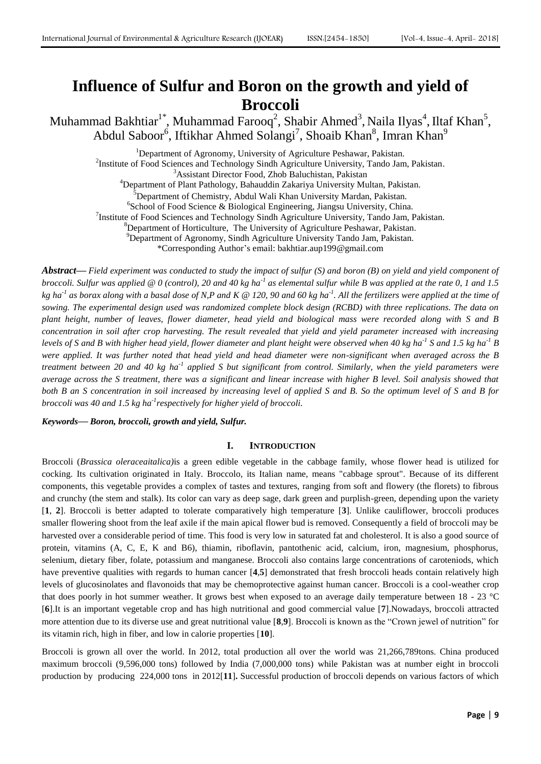# **Influence of Sulfur and Boron on the growth and yield of Broccoli**

Muhammad Bakhtiar<sup>1\*</sup>, Muhammad Farooq<sup>2</sup>, Shabir Ahmed<sup>3</sup>, Naila Ilyas<sup>4</sup>, Iltaf Khan<sup>5</sup>, Abdul Saboor<sup>6</sup>, Iftikhar Ahmed Solangi<sup>7</sup>, Shoaib Khan<sup>8</sup>, Imran Khan<sup>9</sup>

<sup>1</sup>Department of Agronomy, University of Agriculture Peshawar, Pakistan. <sup>2</sup>Institute of Food Sciences and Technology Sindh Agriculture University, Tando Jam, Pakistan. <sup>3</sup>Assistant Director Food, Zhob Baluchistan, Pakistan <sup>4</sup>Department of Plant Pathology, Bahauddin Zakariya University Multan, Pakistan. <sup>5</sup>Department of Chemistry, Abdul Wali Khan University Mardan, Pakistan. 6 School of Food Science & Biological Engineering, Jiangsu University, China. <sup>7</sup>Institute of Food Sciences and Technology Sindh Agriculture University, Tando Jam, Pakistan. <sup>8</sup>Department of Horticulture, The University of Agriculture Peshawar, Pakistan.  $^{9}$ Department of Agronomy, Sindh Agriculture University Tando Jam, Pakistan. \*Corresponding Author's email: bakhtiar.aup199@gmail.com

*Abstract***—** *Field experiment was conducted to study the impact of sulfur (S) and boron (B) on yield and yield component of*  broccoli. Sulfur was applied @ 0 (control), 20 and 40 kg ha<sup>-1</sup> as elemental sulfur while B was applied at the rate 0, 1 and 1.5 *kg ha-1 as borax along with a basal dose of N,P and K @ 120, 90 and 60 kg ha-1 . All the fertilizers were applied at the time of sowing. The experimental design used was randomized complete block design (RCBD) with three replications. The data on plant height, number of leaves, flower diameter, head yield and biological mass were recorded along with S and B concentration in soil after crop harvesting. The result revealed that yield and yield parameter increased with increasing levels of S and B with higher head yield, flower diameter and plant height were observed when 40 kg ha-1 S and 1.5 kg ha-1 B were applied. It was further noted that head yield and head diameter were non-significant when averaged across the B*  treatment between 20 and 40 kg ha<sup>-1</sup> applied S but significant from control. Similarly, when the yield parameters were *average across the S treatment, there was a significant and linear increase with higher B level. Soil analysis showed that both B an S concentration in soil increased by increasing level of applied S and B. So the optimum level of S and B for broccoli was 40 and 1.5 kg ha-1 respectively for higher yield of broccoli.*

*Keywords***—** *Boron, broccoli, growth and yield, Sulfur.*

## **I. INTRODUCTION**

Broccoli (*Brassica oleraceaitalica)*is a green edible vegetable in the [cabbage family,](http://en.wikipedia.org/wiki/Brassicaceae) whose flower head is utilized for cocking. Its cultivation originated in Italy. Broccolo, its Italian name, means "cabbage sprout". Because of its different components, this vegetable provides a complex of tastes and textures, ranging from soft and flowery (the florets) to fibrous and crunchy (the stem and stalk). Its color can vary as deep sage, dark green and purplish-green, depending upon the variety [**1**, **2**]. Broccoli is better adapted to tolerate comparatively high temperature [**3**]. Unlike cauliflower, broccoli produces smaller flowering shoot from the leaf axile if the main apical flower bud is removed. Consequently a field of broccoli may be harvested over a considerable period of time. This food is very low in saturated fat and cholesterol. It is also a good source of protein, vitamins (A, C, E, K and B6), thiamin, riboflavin, pantothenic acid, calcium, iron, magnesium, phosphorus, selenium, dietary fiber, folate, potassium and manganese. Broccoli also contains large concentrations of caroteniods, which have preventive qualities with regards to human cancer [**4**,**5**] demonstrated that fresh broccoli heads contain relatively high levels of glucosinolates and flavonoids that may be chemoprotective against human cancer. Broccoli is a cool-weather crop that does poorly in hot summer weather. It grows best when exposed to an average daily temperature between 18 - 23 °C [**6**].It is an important vegetable crop and has high nutritional and good commercial value [**7**].Nowadays, broccoli attracted more attention due to its diverse use and great nutritional value [**8**,**9**]. Broccoli is known as the "Crown jewel of nutrition" for its vitamin rich, high in fiber, and low in calorie properties [**10**].

Broccoli is grown all over the world. In 2012, total production all over the world was 21,266,789tons. China produced maximum broccoli (9,596,000 tons) followed by India (7,000,000 tons) while Pakistan was at number eight in broccoli production by producing 224,000 tons in 2012[**11**]**.** Successful production of broccoli depends on various factors of which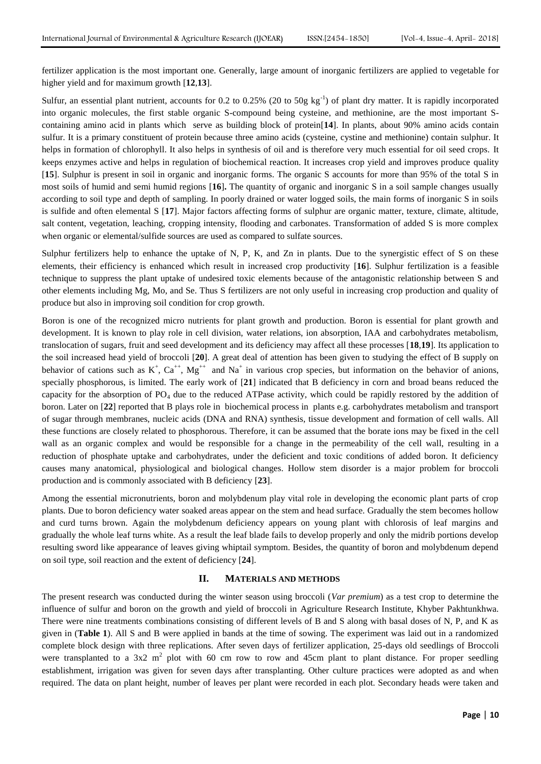fertilizer application is the most important one. Generally, large amount of inorganic fertilizers are applied to vegetable for higher yield and for maximum growth [**12**,**13**].

Sulfur, an essential plant nutrient, accounts for 0.2 to 0.25% (20 to 50g  $kg^{-1}$ ) of plant dry matter. It is rapidly incorporated into organic molecules, the first stable organic S-compound being cysteine, and methionine, are the most important Scontaining amino acid in plants which serve as building block of protein[**14**]. In plants, about 90% amino acids contain sulfur. It is a primary constituent of protein because three amino acids (cysteine, cystine and methionine) contain sulphur. It helps in formation of chlorophyll. It also helps in synthesis of oil and is therefore very much essential for oil seed crops. It keeps enzymes active and helps in regulation of biochemical reaction. It increases crop yield and improves produce quality [**15**]. Sulphur is present in soil in organic and inorganic forms. The organic S accounts for more than 95% of the total S in most soils of humid and semi humid regions [**16**]**.** The quantity of organic and inorganic S in a soil sample changes usually according to soil type and depth of sampling. In poorly drained or water logged soils, the main forms of inorganic S in soils is sulfide and often elemental S [**17**]. Major factors affecting forms of sulphur are organic matter, texture, climate, altitude, salt content, vegetation, leaching, cropping intensity, flooding and carbonates. Transformation of added S is more complex when organic or elemental/sulfide sources are used as compared to sulfate sources.

Sulphur fertilizers help to enhance the uptake of N, P, K, and Zn in plants. Due to the synergistic effect of S on these elements, their efficiency is enhanced which result in increased crop productivity [**16**]. Sulphur fertilization is a feasible technique to suppress the plant uptake of undesired toxic elements because of the antagonistic relationship between S and other elements including Mg, Mo, and Se. Thus S fertilizers are not only useful in increasing crop production and quality of produce but also in improving soil condition for crop growth.

Boron is one of the recognized micro nutrients for plant growth and production. Boron is essential for plant growth and development. It is known to play role in cell division, water relations, ion absorption, IAA and carbohydrates metabolism, translocation of sugars, fruit and seed development and its deficiency may affect all these processes [**18**,**19**]. Its application to the soil increased head yield of broccoli [**20**]. A great deal of attention has been given to studying the effect of B supply on behavior of cations such as  $K^+$ ,  $Ca^{++}$ ,  $Mg^{++}$  and  $Na^+$  in various crop species, but information on the behavior of anions, specially phosphorous, is limited. The early work of [**21**] indicated that B deficiency in corn and broad beans reduced the capacity for the absorption of  $PO_4$  due to the reduced ATPase activity, which could be rapidly restored by the addition of boron. Later on [**22**] reported that B plays role in biochemical process in plants e.g. carbohydrates metabolism and transport of sugar through membranes, nucleic acids (DNA and RNA) synthesis, tissue development and formation of cell walls. All these functions are closely related to phosphorous. Therefore, it can be assumed that the borate ions may be fixed in the cell wall as an organic complex and would be responsible for a change in the permeability of the cell wall, resulting in a reduction of phosphate uptake and carbohydrates, under the deficient and toxic conditions of added boron. It deficiency causes many anatomical, physiological and biological changes. Hollow stem disorder is a major problem for broccoli production and is commonly associated with B deficiency [**23**].

Among the essential micronutrients, boron and molybdenum play vital role in developing the economic plant parts of crop plants. Due to boron deficiency water soaked areas appear on the stem and head surface. Gradually the stem becomes hollow and curd turns brown. Again the molybdenum deficiency appears on young plant with chlorosis of leaf margins and gradually the whole leaf turns white. As a result the leaf blade fails to develop properly and only the midrib portions develop resulting sword like appearance of leaves giving whiptail symptom. Besides, the quantity of boron and molybdenum depend on soil type, soil reaction and the extent of deficiency [**24**].

#### **II. MATERIALS AND METHODS**

The present research was conducted during the winter season using broccoli (*Var premium*) as a test crop to determine the influence of sulfur and boron on the growth and yield of broccoli in Agriculture Research Institute, Khyber Pakhtunkhwa. There were nine treatments combinations consisting of different levels of B and S along with basal doses of N, P, and K as given in (**Table 1**). All S and B were applied in bands at the time of sowing. The experiment was laid out in a randomized complete block design with three replications. After seven days of fertilizer application, 25-days old seedlings of Broccoli were transplanted to a  $3x^2$  m<sup>2</sup> plot with 60 cm row to row and 45cm plant to plant distance. For proper seedling establishment, irrigation was given for seven days after transplanting. Other culture practices were adopted as and when required. The data on plant height, number of leaves per plant were recorded in each plot. Secondary heads were taken and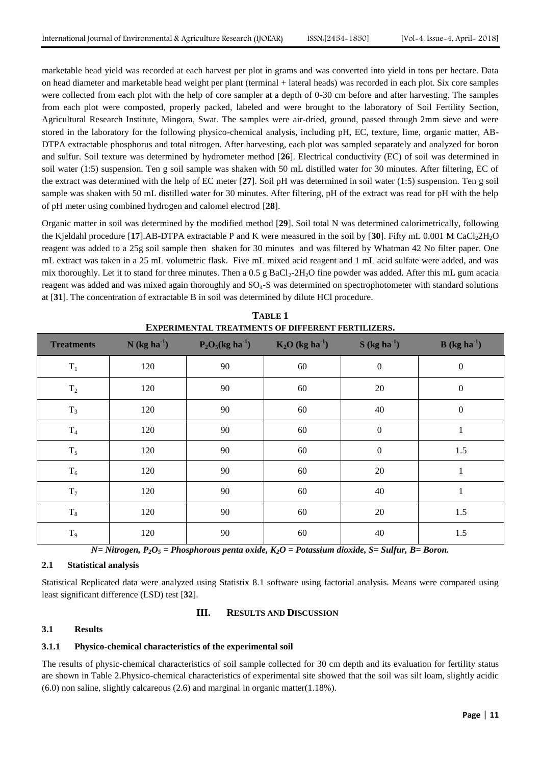marketable head yield was recorded at each harvest per plot in grams and was converted into yield in tons per hectare. Data on head diameter and marketable head weight per plant (terminal + lateral heads) was recorded in each plot. Six core samples were collected from each plot with the help of core sampler at a depth of 0-30 cm before and after harvesting. The samples from each plot were composted, properly packed, labeled and were brought to the laboratory of Soil Fertility Section, Agricultural Research Institute, Mingora, Swat. The samples were air-dried, ground, passed through 2mm sieve and were stored in the laboratory for the following physico-chemical analysis, including pH, EC, texture, lime, organic matter, AB-DTPA extractable phosphorus and total nitrogen. After harvesting, each plot was sampled separately and analyzed for boron and sulfur. Soil texture was determined by hydrometer method [**26**]. Electrical conductivity (EC) of soil was determined in soil water (1:5) suspension. Ten g soil sample was shaken with 50 mL distilled water for 30 minutes. After filtering, EC of the extract was determined with the help of EC meter [**27**]. Soil pH was determined in soil water (1:5) suspension. Ten g soil sample was shaken with 50 mL distilled water for 30 minutes. After filtering, pH of the extract was read for pH with the help of pH meter using combined hydrogen and calomel electrod [**28**].

Organic matter in soil was determined by the modified method [**29**]. Soil total N was determined calorimetrically, following the Kjeldahl procedure [17].AB-DTPA extractable P and K were measured in the soil by [30]. Fifty mL  $0.001$  M CaCl<sub>2</sub>2H<sub>2</sub>O reagent was added to a 25g soil sample then shaken for 30 minutes and was filtered by Whatman 42 No filter paper. One mL extract was taken in a 25 mL volumetric flask. Five mL mixed acid reagent and 1 mL acid sulfate were added, and was mix thoroughly. Let it to stand for three minutes. Then a  $0.5$  g  $BaCl<sub>2</sub>-2H<sub>2</sub>O$  fine powder was added. After this mL gum acacia reagent was added and was mixed again thoroughly and SO4-S was determined on spectrophotometer with standard solutions at [**31**]. The concentration of extractable B in soil was determined by dilute HCl procedure.

| <b>Treatments</b> | $N$ (kg ha <sup>-1</sup> ) | $P_2O_5(kg \text{ ha}^{-1})$ | $K_2O$ (kg ha <sup>-1</sup> ) | $S(kg ha-1)$     | $B (kg ha-1)$    |
|-------------------|----------------------------|------------------------------|-------------------------------|------------------|------------------|
| $T_1$             | 120                        | 90                           | 60                            | $\boldsymbol{0}$ | $\boldsymbol{0}$ |
| $\rm T_2$         | 120                        | 90                           | 60                            | 20               | $\boldsymbol{0}$ |
| $T_3$             | 120                        | 90                           | 60                            | 40               | $\boldsymbol{0}$ |
| $\mathrm{T}_4$    | 120                        | 90                           | 60                            | $\boldsymbol{0}$ | $\mathbf{1}$     |
| $\mathrm{T}_5$    | 120                        | 90                           | 60                            | $\boldsymbol{0}$ | 1.5              |
| $\mathrm{T}_6$    | 120                        | 90                           | 60                            | 20               | $\mathbf{1}$     |
| $\rm T_7$         | 120                        | 90                           | 60                            | 40               | 1                |
| $T_8$             | 120                        | 90                           | 60                            | 20               | 1.5              |
| $T_9$             | 120                        | 90                           | 60                            | 40               | 1.5              |

**TABLE 1 EXPERIMENTAL TREATMENTS OF DIFFERENT FERTILIZERS.**

*N= Nitrogen, P2O<sup>5</sup> = Phosphorous penta oxide, K2O = Potassium dioxide, S= Sulfur, B= Boron.*

## **2.1 Statistical analysis**

Statistical Replicated data were analyzed using Statistix 8.1 software using factorial analysis. Means were compared using least significant difference (LSD) test [**32**].

# **III. RESULTS AND DISCUSSION**

## **3.1 Results**

### **3.1.1 Physico-chemical characteristics of the experimental soil**

The results of physic-chemical characteristics of soil sample collected for 30 cm depth and its evaluation for fertility status are shown in Table 2.Physico-chemical characteristics of experimental site showed that the soil was silt loam, slightly acidic  $(6.0)$  non saline, slightly calcareous  $(2.6)$  and marginal in organic matter $(1.18%)$ .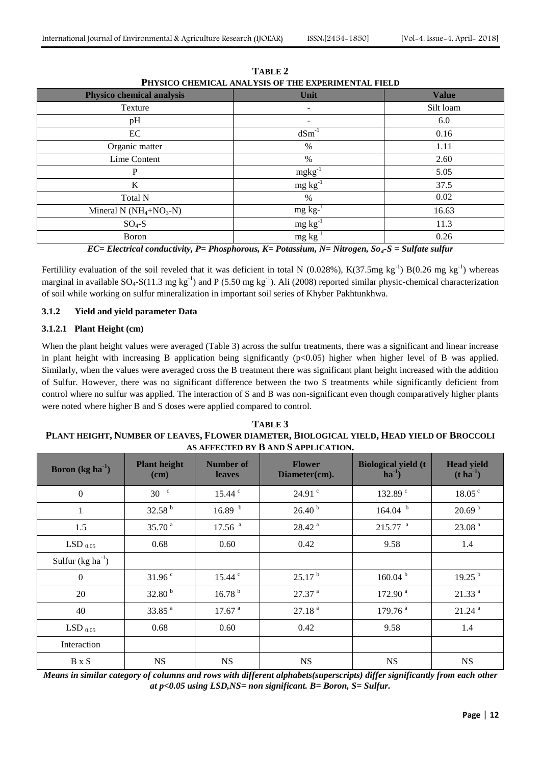| THI SICO CHEMICAL ANALISIS OF THE EXPENIMENTAL FIELD |              |  |  |  |  |  |
|------------------------------------------------------|--------------|--|--|--|--|--|
| Unit                                                 | <b>Value</b> |  |  |  |  |  |
| $\overline{\phantom{a}}$                             | Silt loam    |  |  |  |  |  |
|                                                      | 6.0          |  |  |  |  |  |
| $dSm^{-1}$                                           | 0.16         |  |  |  |  |  |
| $\%$                                                 | 1.11         |  |  |  |  |  |
| $\%$                                                 | 2.60         |  |  |  |  |  |
| $mgkg^{-1}$                                          | 5.05         |  |  |  |  |  |
| $mg \, kg^{-1}$                                      | 37.5         |  |  |  |  |  |
| %                                                    | 0.02         |  |  |  |  |  |
| $mg \, kg^{-1}$                                      | 16.63        |  |  |  |  |  |
| $mg \, kg^{-1}$                                      | 11.3         |  |  |  |  |  |
| $mg \, kg^{-1}$                                      | 0.26         |  |  |  |  |  |
|                                                      |              |  |  |  |  |  |

**TABLE 2 PHYSICO CHEMICAL ANALYSIS OF THE EXPERIMENTAL FIELD**

*EC= Electrical conductivity, P= Phosphorous, K= Potassium, N= Nitrogen, So4-S = Sulfate sulfur*

Fertilility evaluation of the soil reveled that it was deficient in total N (0.028%),  $K(37.5mg kg^{-1}) B(0.26 mg kg^{-1})$  whereas marginal in available  $SO_4$ - $S(11.3 \text{ mg kg}^{-1})$  and P (5.50 mg kg<sup>-1</sup>). Ali (2008) reported similar physic-chemical characterization of soil while working on sulfur mineralization in important soil series of Khyber Pakhtunkhwa.

## **3.1.2 Yield and yield parameter Data**

## **3.1.2.1 Plant Height (cm)**

When the plant height values were averaged (Table 3) across the sulfur treatments, there was a significant and linear increase in plant height with increasing B application being significantly  $(p<0.05)$  higher when higher level of B was applied. Similarly, when the values were averaged cross the B treatment there was significant plant height increased with the addition of Sulfur. However, there was no significant difference between the two S treatments while significantly deficient from control where no sulfur was applied. The interaction of S and B was non-significant even though comparatively higher plants were noted where higher B and S doses were applied compared to control.

| TABLE 3                                                                                   |
|-------------------------------------------------------------------------------------------|
| PLANT HEIGHT, NUMBER OF LEAVES, FLOWER DIAMETER, BIOLOGICAL YIELD, HEAD YIELD OF BROCCOLI |
| AS AFFECTED BY B AND S APPLICATION.                                                       |

| <b>Boron</b> (kg ha $^{-1}$ ) | <b>Plant height</b><br>(cm) | Number of<br>leaves  | <b>Flower</b><br>Diameter(cm). | <b>Biological yield (t)</b><br>$ha^{-1}$ | <b>Head yield</b><br>$(t \, \mathrm{ha}^{-1})$ |
|-------------------------------|-----------------------------|----------------------|--------------------------------|------------------------------------------|------------------------------------------------|
| $\mathbf{0}$                  | 30 <sup>c</sup>             | $15.44$ $\degree$    | $24.91$ $\degree$              | 132.89 <sup>c</sup>                      | 18.05 <sup>c</sup>                             |
| $\mathbf{1}$                  | 32.58 $^{\rm b}$            | 16.89 <sup>b</sup>   | 26.40 <sup>b</sup>             | 164.04 <sup>b</sup>                      | 20.69 <sup>b</sup>                             |
| 1.5                           | 35.70 <sup>a</sup>          | $17.56$ <sup>a</sup> | $28.42$ <sup>a</sup>           | $215.77$ <sup>a</sup>                    | 23.08 <sup>a</sup>                             |
| LSD $_{0.05}$                 | 0.68                        | 0.60                 | 0.42                           | 9.58                                     | 1.4                                            |
| Sulfur $(kg ha^{-1})$         |                             |                      |                                |                                          |                                                |
| $\overline{0}$                | 31.96 <sup>c</sup>          | $15.44$ $\degree$    | 25.17 <sup>b</sup>             | 160.04 <sup>b</sup>                      | 19.25 <sup>b</sup>                             |
| 20                            | 32.80 $b$                   | 16.78 <sup>b</sup>   | $27.37$ <sup>a</sup>           | 172.90 <sup>a</sup>                      | 21.33 <sup>a</sup>                             |
| 40                            | $33.85$ <sup>a</sup>        | 17.67 <sup>a</sup>   | 27.18 <sup>a</sup>             | 179.76 <sup>a</sup>                      | $21.24$ <sup>a</sup>                           |
| LSD $_{0.05}$                 | 0.68                        | 0.60                 | 0.42                           | 9.58                                     | 1.4                                            |
| Interaction                   |                             |                      |                                |                                          |                                                |
| <b>B</b> x S                  | <b>NS</b>                   | <b>NS</b>            | <b>NS</b>                      | <b>NS</b>                                | <b>NS</b>                                      |

*Means in similar category of columns and rows with different alphabets(superscripts) differ significantly from each other at p<0.05 using LSD,NS= non significant. B= Boron, S= Sulfur.*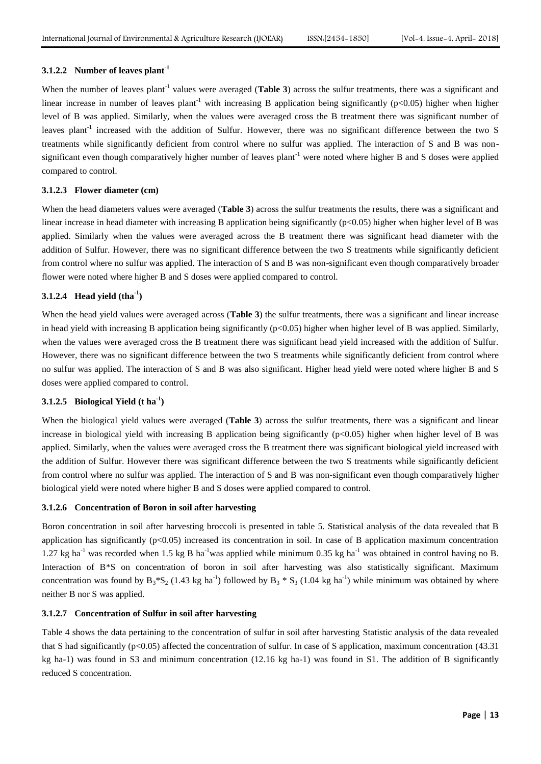# **3.1.2.2 Number of leaves plant-1**

When the number of leaves plant<sup>-1</sup> values were averaged (**Table 3**) across the sulfur treatments, there was a significant and linear increase in number of leaves plant<sup>-1</sup> with increasing B application being significantly ( $p<0.05$ ) higher when higher level of B was applied. Similarly, when the values were averaged cross the B treatment there was significant number of leaves plant<sup>-1</sup> increased with the addition of Sulfur. However, there was no significant difference between the two S treatments while significantly deficient from control where no sulfur was applied. The interaction of S and B was nonsignificant even though comparatively higher number of leaves plant<sup>-1</sup> were noted where higher B and S doses were applied compared to control.

## **3.1.2.3 Flower diameter (cm)**

When the head diameters values were averaged (**Table 3**) across the sulfur treatments the results, there was a significant and linear increase in head diameter with increasing B application being significantly  $(p<0.05)$  higher when higher level of B was applied. Similarly when the values were averaged across the B treatment there was significant head diameter with the addition of Sulfur. However, there was no significant difference between the two S treatments while significantly deficient from control where no sulfur was applied. The interaction of S and B was non-significant even though comparatively broader flower were noted where higher B and S doses were applied compared to control.

# **3.1.2.4 Head yield (tha-1 )**

When the head yield values were averaged across (**Table 3**) the sulfur treatments, there was a significant and linear increase in head yield with increasing B application being significantly  $(p<0.05)$  higher when higher level of B was applied. Similarly, when the values were averaged cross the B treatment there was significant head yield increased with the addition of Sulfur. However, there was no significant difference between the two S treatments while significantly deficient from control where no sulfur was applied. The interaction of S and B was also significant. Higher head yield were noted where higher B and S doses were applied compared to control.

# **3.1.2.5 Biological Yield (t ha-1 )**

When the biological yield values were averaged (**Table 3**) across the sulfur treatments, there was a significant and linear increase in biological yield with increasing B application being significantly (p<0.05) higher when higher level of B was applied. Similarly, when the values were averaged cross the B treatment there was significant biological yield increased with the addition of Sulfur. However there was significant difference between the two S treatments while significantly deficient from control where no sulfur was applied. The interaction of S and B was non-significant even though comparatively higher biological yield were noted where higher B and S doses were applied compared to control.

### **3.1.2.6 Concentration of Boron in soil after harvesting**

Boron concentration in soil after harvesting broccoli is presented in table 5. Statistical analysis of the data revealed that B application has significantly (p<0.05) increased its concentration in soil. In case of B application maximum concentration 1.27 kg ha<sup>-1</sup> was recorded when 1.5 kg B ha<sup>-1</sup>was applied while minimum 0.35 kg ha<sup>-1</sup> was obtained in control having no B. Interaction of B\*S on concentration of boron in soil after harvesting was also statistically significant. Maximum concentration was found by  $B_3$ <sup>\*</sup>S<sub>2</sub> (1.43 kg ha<sup>-1</sup>) followed by  $B_3$ <sup>\*</sup>S<sub>3</sub> (1.04 kg ha<sup>-1</sup>) while minimum was obtained by where neither B nor S was applied.

#### **3.1.2.7 Concentration of Sulfur in soil after harvesting**

Table 4 shows the data pertaining to the concentration of sulfur in soil after harvesting Statistic analysis of the data revealed that S had significantly ( $p<0.05$ ) affected the concentration of sulfur. In case of S application, maximum concentration (43.31) kg ha-1) was found in S3 and minimum concentration (12.16 kg ha-1) was found in S1. The addition of B significantly reduced S concentration.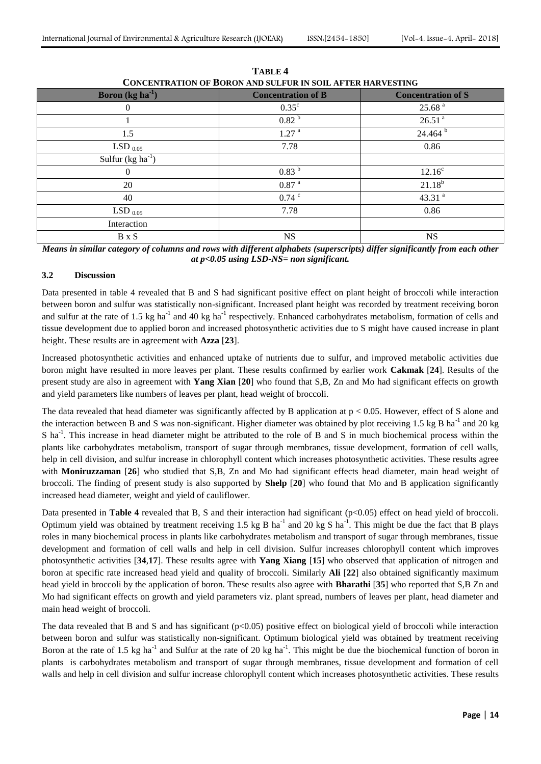| CONCENTRATION OF DORON AND SULFUR IN SOIL AFTER HARVESTING |                           |                           |  |  |  |
|------------------------------------------------------------|---------------------------|---------------------------|--|--|--|
| <b>Boron</b> (kg ha $^{-1}$ )                              | <b>Concentration of B</b> | <b>Concentration of S</b> |  |  |  |
| $\boldsymbol{0}$                                           | $0.35^{\circ}$            | 25.68 <sup>a</sup>        |  |  |  |
|                                                            | 0.82 <sup>b</sup>         | 26.51 <sup>a</sup>        |  |  |  |
| 1.5                                                        | 1.27 <sup>a</sup>         | 24.464 <sup>b</sup>       |  |  |  |
| LSD $_{0.05}$                                              | 7.78                      | 0.86                      |  |  |  |
| Sulfur $(kg ha^{-1})$                                      |                           |                           |  |  |  |
| $\theta$                                                   | 0.83 <sup>b</sup>         | $12.16^c$                 |  |  |  |
| 20                                                         | $0.87$ $^{\rm a}$         | $21.18^{b}$               |  |  |  |
| 40                                                         | $0.74$ $\degree$          | 43.31 $a$                 |  |  |  |
| LSD $_{0.05}$                                              | 7.78                      | 0.86                      |  |  |  |
| Interaction                                                |                           |                           |  |  |  |
| B x S                                                      | <b>NS</b>                 | <b>NS</b>                 |  |  |  |

**TABLE 4 CONCENTRATION OF BORON AND SULFUR IN SOIL AFTER HARVESTING**

*Means in similar category of columns and rows with different alphabets (superscripts) differ significantly from each other at p<0.05 using LSD-NS= non significant.*

# **3.2 Discussion**

Data presented in table 4 revealed that B and S had significant positive effect on plant height of broccoli while interaction between boron and sulfur was statistically non-significant. Increased plant height was recorded by treatment receiving boron and sulfur at the rate of 1.5 kg ha<sup>-1</sup> and 40 kg ha<sup>-1</sup> respectively. Enhanced carbohydrates metabolism, formation of cells and tissue development due to applied boron and increased photosynthetic activities due to S might have caused increase in plant height. These results are in agreement with **Azza** [**23**].

Increased photosynthetic activities and enhanced uptake of nutrients due to sulfur, and improved metabolic activities due boron might have resulted in more leaves per plant. These results confirmed by earlier work **Cakmak** [**24**]. Results of the present study are also in agreement with **Yang Xian** [**20**] who found that S,B, Zn and Mo had significant effects on growth and yield parameters like numbers of leaves per plant, head weight of broccoli.

The data revealed that head diameter was significantly affected by B application at  $p < 0.05$ . However, effect of S alone and the interaction between B and S was non-significant. Higher diameter was obtained by plot receiving 1.5 kg B ha<sup>-1</sup> and 20 kg S ha<sup>-1</sup>. This increase in head diameter might be attributed to the role of B and S in much biochemical process within the plants like carbohydrates metabolism, transport of sugar through membranes, tissue development, formation of cell walls, help in cell division, and sulfur increase in chlorophyll content which increases photosynthetic activities. These results agree with **Moniruzzaman** [26] who studied that S,B, Zn and Mo had significant effects head diameter, main head weight of broccoli. The finding of present study is also supported by **Shelp** [**20**] who found that Mo and B application significantly increased head diameter, weight and yield of cauliflower.

Data presented in **Table 4** revealed that B, S and their interaction had significant (p<0.05) effect on head yield of broccoli. Optimum yield was obtained by treatment receiving 1.5 kg B ha<sup>-1</sup> and 20 kg S ha<sup>-1</sup>. This might be due the fact that B plays roles in many biochemical process in plants like carbohydrates metabolism and transport of sugar through membranes, tissue development and formation of cell walls and help in cell division. Sulfur increases chlorophyll content which improves photosynthetic activities [**34**,**17**]. These results agree with **Yang Xiang** [**15**] who observed that application of nitrogen and boron at specific rate increased head yield and quality of broccoli. Similarly **Ali** [**22**] also obtained significantly maximum head yield in broccoli by the application of boron. These results also agree with **Bharathi** [**35**] who reported that S,B Zn and Mo had significant effects on growth and yield parameters viz. plant spread, numbers of leaves per plant, head diameter and main head weight of broccoli.

The data revealed that B and S and has significant  $(p<0.05)$  positive effect on biological yield of broccoli while interaction between boron and sulfur was statistically non-significant. Optimum biological yield was obtained by treatment receiving Boron at the rate of 1.5 kg ha<sup>-1</sup> and Sulfur at the rate of 20 kg ha<sup>-1</sup>. This might be due the biochemical function of boron in plants is carbohydrates metabolism and transport of sugar through membranes, tissue development and formation of cell walls and help in cell division and sulfur increase chlorophyll content which increases photosynthetic activities. These results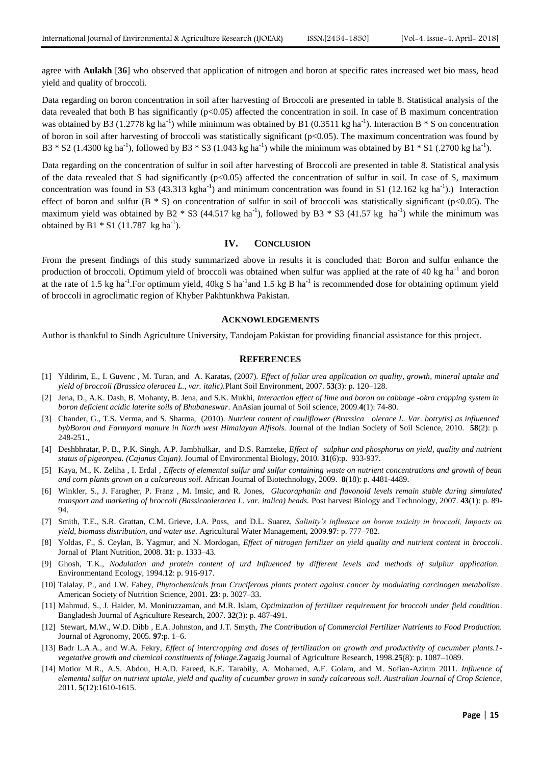agree with **Aulakh** [**36**] who observed that application of nitrogen and boron at specific rates increased wet bio mass, head yield and quality of broccoli.

Data regarding on boron concentration in soil after harvesting of Broccoli are presented in table 8. Statistical analysis of the data revealed that both B has significantly (p<0.05) affected the concentration in soil. In case of B maximum concentration was obtained by B3 (1.2778 kg ha<sup>-1</sup>) while minimum was obtained by B1 (0.3511 kg ha<sup>-1</sup>). Interaction B  $*$  S on concentration of boron in soil after harvesting of broccoli was statistically significant (p<0.05). The maximum concentration was found by B3  $*$  S2 (1.4300 kg ha<sup>-1</sup>), followed by B3  $*$  S3 (1.043 kg ha<sup>-1</sup>) while the minimum was obtained by B1  $*$  S1 (.2700 kg ha<sup>-1</sup>).

Data regarding on the concentration of sulfur in soil after harvesting of Broccoli are presented in table 8. Statistical analysis of the data revealed that S had significantly  $(p<0.05)$  affected the concentration of sulfur in soil. In case of S, maximum concentration was found in S3 (43.313 kgha<sup>-1</sup>) and minimum concentration was found in S1 (12.162 kg ha<sup>-1</sup>).) Interaction effect of boron and sulfur  $(B * S)$  on concentration of sulfur in soil of broccoli was statistically significant ( $p<0.05$ ). The maximum yield was obtained by B2  $*$  S3 (44.517 kg ha<sup>-1</sup>), followed by B3  $*$  S3 (41.57 kg ha<sup>-1</sup>) while the minimum was obtained by B1  $*$  S1 (11.787 kg ha<sup>-1</sup>).

## **IV. CONCLUSION**

From the present findings of this study summarized above in results it is concluded that: Boron and sulfur enhance the production of broccoli. Optimum yield of broccoli was obtained when sulfur was applied at the rate of 40 kg ha<sup>-1</sup> and boron at the rate of 1.5 kg ha<sup>-1</sup>. For optimum yield, 40kg S ha<sup>-1</sup> and 1.5 kg B ha<sup>-1</sup> is recommended dose for obtaining optimum yield of broccoli in agroclimatic region of Khyber Pakhtunkhwa Pakistan.

#### **ACKNOWLEDGEMENTS**

Author is thankful to Sindh Agriculture University, Tandojam Pakistan for providing financial assistance for this project.

#### **REFERENCES**

- [1] Yildirim, E., I. Guvenc , M. Turan, and A. Karatas, (2007). *Effect of foliar urea application on quality, growth, mineral uptake and yield of broccoli (Brassica oleracea L., var. italic).*Plant Soil Environment, 2007. **53**(3): p. 120–128.
- [2] Jena, D., A.K. Dash, B. Mohanty, B. Jena, and S.K. Mukhi, *Interaction effect of lime and boron on cabbage -okra cropping system in boron deficient acidic laterite soils of Bhubaneswar*. AnAsian journal of Soil science, 2009.**4**(1): 74-80.
- [3] Chander, G., T.S. Verma, and S. Sharma, (2010). *Nutrient content of cauliflower (Brassica olerace L. Var. botrytis) as influenced bybBoron and Farmyard manure in North west Himalayan Alfisols.* Journal of the Indian Society of Soil Science, 2010. **58**(2): p. 248-251.,
- [4] Deshbhratar, P. B., P.K. Singh, A.P. Jambhulkar, and D.S. Ramteke, *Effect of sulphur and phosphorus on yield, quality and nutrient status of pigeonpea. (Cajanus Cajan)*. Journal of Environmental Biology*,* 2010*.* **31**(6):p. 933-937.
- [5] Kaya, M., K. Zeliha , I. Erdal , *Effects of elemental sulfur and sulfur containing waste on nutrient concentrations and growth of bean and corn plants grown on a calcareous soil*. African Journal of Biotechnology, 2009. **8**(18): p. 4481-4489.
- [6] Winkler, S., J. Faragher, P. Franz , M. Imsic, and R. Jones, *Glucoraphanin and flavonoid levels remain stable during simulated transport and marketing of broccoli (Bassicaoleracea L. var. italica) heads.* Post harvest Biology and Technology, 2007. **43**(1): p. 89- 94.
- [7] Smith, T.E., S.R. Grattan, C.M. Grieve, J.A. Poss, and D.L. Suarez, *Salinity's influence on boron toxicity in broccoli, Impacts on yield, biomass distribution, and water use*. Agricultural Water Management, 2009*.***97**: p. 777–782.
- [8] Yoldas, F., S. Ceylan, B. Yagmur, and N. Mordogan, *Effect of nitrogen fertilizer on yield quality and nutrient content in broccoli*. Jornal of Plant Nutrition, 2008. **31**: p. 1333–43.
- [9] Ghosh, T.K., *Nodulation and protein content of urd Influenced by different levels and methods of sulphur application.*  Environmentand Ecology, 1994.**12**: p. 916-917.
- [10] Talalay, P., and J.W. Fahey, *Phytochemicals from Cruciferous plants protect against cancer by modulating carcinogen metabolism*. American Society of Nutrition Science, 2001*.* **23**: p. 3027–33.
- [11] Mahmud, S., J. Haider, M. Moniruzzaman, and M.R. Islam, *Optimization of fertilizer requirement for broccoli under field condition*. Bangladesh Journal of Agriculture Research, 2007*.* **32**(3): p. 487-491.
- [12] Stewart, M.W., W.D. Dibb , E.A. Johnston, and J.T. Smyth, *The Contribution of Commercial Fertilizer Nutrients to Food Production.* Journal of Agronomy, 2005*.* **97**:p. 1–6.
- [13] Badr L.A.A., and W.A. Fekry, *Effect of intercropping and doses of fertilization on growth and productivity of cucumber plants.1 vegetative growth and chemical constituents of foliage.*Zagazig Journal of Agriculture Research, 1998.**25**(8): p. 1087–1089.
- [14] Motior M.R., A.S. Abdou, H.A.D. Fareed, K.E. Tarabily, A. Mohamed, A.F. Golam, and M. Sofian-Azirun 2011*. Influence of elemental sulfur on nutrient uptake, yield and quality of cucumber grown in sandy calcareous soil*. *Australian Journal of Crop Science*, 2011. **5**(12):1610-1615.